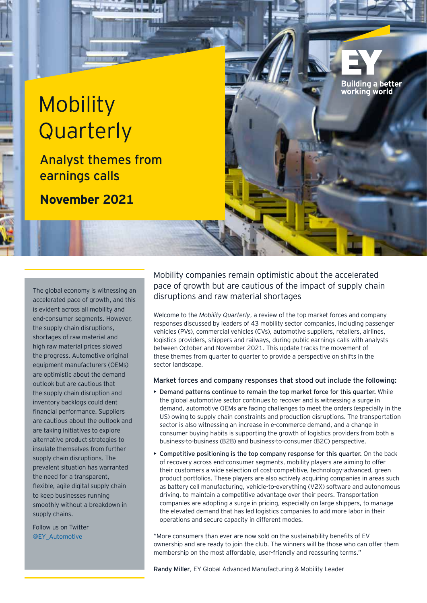# **Mobility Quarterly**

Analyst themes from earnings calls

**November 2021**

The global economy is witnessing an accelerated pace of growth, and this is evident across all mobility and end-consumer segments. However, the supply chain disruptions, shortages of raw material and high raw material prices slowed the progress. Automotive original equipment manufacturers (OEMs) are optimistic about the demand outlook but are cautious that the supply chain disruption and inventory backlogs could dent financial performance. Suppliers are cautious about the outlook and are taking initiatives to explore alternative product strategies to insulate themselves from further supply chain disruptions. The prevalent situation has warranted the need for a transparent, flexible, agile digital supply chain to keep businesses running smoothly without a breakdown in supply chains.

Follow us on Twitter @EY\_Automotive

Mobility companies remain optimistic about the accelerated pace of growth but are cautious of the impact of supply chain disruptions and raw material shortages

**Building a better** working world

Welcome to the *Mobility Quarterly*, a review of the top market forces and company responses discussed by leaders of 43 mobility sector companies, including passenger vehicles (PVs), commercial vehicles (CVs), automotive suppliers, retailers, airlines, logistics providers, shippers and railways, during public earnings calls with analysts between October and November 2021. This update tracks the movement of these themes from quarter to quarter to provide a perspective on shifts in the sector landscape.

#### Market forces and company responses that stood out include the following:

- Demand patterns continue to remain the top market force for this quarter. While the global automotive sector continues to recover and is witnessing a surge in demand, automotive OEMs are facing challenges to meet the orders (especially in the US) owing to supply chain constraints and production disruptions. The transportation sector is also witnessing an increase in e-commerce demand, and a change in consumer buying habits is supporting the growth of logistics providers from both a business-to-business (B2B) and business-to-consumer (B2C) perspective.
- Competitive positioning is the top company response for this quarter. On the back of recovery across end-consumer segments, mobility players are aiming to offer their customers a wide selection of cost-competitive, technology-advanced, green product portfolios. These players are also actively acquiring companies in areas such as battery cell manufacturing, vehicle-to-everything (V2X) software and autonomous driving, to maintain a competitive advantage over their peers. Transportation companies are adopting a surge in pricing, especially on large shippers, to manage the elevated demand that has led logistics companies to add more labor in their operations and secure capacity in different modes.

"More consumers than ever are now sold on the sustainability benefits of EV ownership and are ready to join the club. The winners will be those who can offer them membership on the most affordable, user-friendly and reassuring terms."

Randy Miller, EY Global Advanced Manufacturing & Mobility Leader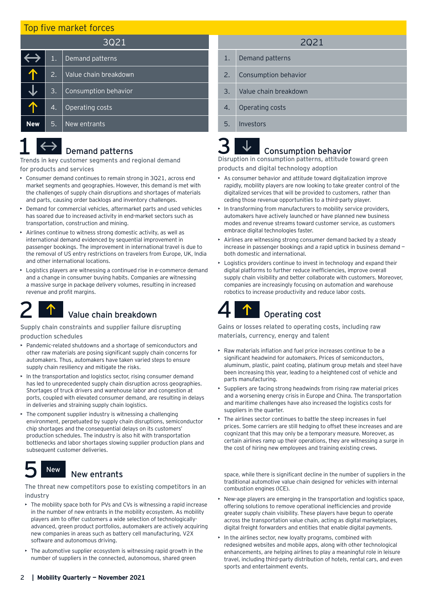#### Top five market forces

| 3Q21       |                  |                       |  |
|------------|------------------|-----------------------|--|
|            | 1.               | Demand patterns       |  |
|            | 2.1              | Value chain breakdown |  |
|            | 3.               | Consumption behavior  |  |
|            | $\overline{4}$ . | Operating costs       |  |
| <b>New</b> | 5.               | New entrants          |  |

### Demand patterns

Trends in key customer segments and regional demand for products and services

- Consumer demand continues to remain strong in 3Q21, across end market segments and geographies. However, this demand is met with the challenges of supply chain disruptions and shortages of materials and parts, causing order backlogs and inventory challenges.
- Demand for commercial vehicles, aftermarket parts and used vehicles has soared due to increased activity in end-market sectors such as transportation, construction and mining.
- Airlines continue to witness strong domestic activity, as well as international demand evidenced by sequential improvement in passenger bookings. The improvement in international travel is due to the removal of US entry restrictions on travelers from Europe, UK, India and other international locations.
- Logistics players are witnessing a continued rise in e-commerce demand and a change in consumer buying habits. Companies are witnessing a massive surge in package delivery volumes, resulting in increased revenue and profit margins.

# Value chain breakdown

#### Supply chain constraints and supplier failure disrupting production schedules

- Pandemic-related shutdowns and a shortage of semiconductors and other raw materials are posing significant supply chain concerns for automakers. Thus, automakers have taken varied steps to ensure supply chain resiliency and mitigate the risks.
- In the transportation and logistics sector, rising consumer demand has led to unprecedented supply chain disruption across geographies. Shortages of truck drivers and warehouse labor and congestion at ports, coupled with elevated consumer demand, are resulting in delays in deliveries and straining supply chain logistics.
- The component supplier industry is witnessing a challenging environment, perpetuated by supply chain disruptions, semiconductor chip shortages and the consequential delays on its customers' production schedules. The industry is also hit with transportation bottlenecks and labor shortages slowing supplier production plans and subsequent customer deliveries.

#### New entrants New

The threat new competitors pose to existing competitors in an industry

- The mobility space both for PVs and CVs is witnessing a rapid increase in the number of new entrants in the mobility ecosystem. As mobility players aim to offer customers a wide selection of technologicallyadvanced, green product portfolios, automakers are actively acquiring new companies in areas such as battery cell manufacturing, V2X software and autonomous driving.
- The automotive supplier ecosystem is witnessing rapid growth in the number of suppliers in the connected, autonomous, shared green
- 2Q21
- 1. Demand patterns
- 2. Consumption behavior
- 3. Value chain breakdown
- 4. Operating costs
- 5. Investors

### Consumption behavior

Disruption in consumption patterns, attitude toward green products and digital technology adoption

- As consumer behavior and attitude toward digitalization improve rapidly, mobility players are now looking to take greater control of the digitalized services that will be provided to customers, rather than ceding those revenue opportunities to a third-party player.
- In transforming from manufacturers to mobility service providers, automakers have actively launched or have planned new business modes and revenue streams toward customer service, as customers embrace digital technologies faster.
- Airlines are witnessing strong consumer demand backed by a steady increase in passenger bookings and a rapid uptick in business demand both domestic and international.
- Logistics providers continue to invest in technology and expand their digital platforms to further reduce inefficiencies, improve overall supply chain visibility and better collaborate with customers. Moreover, companies are increasingly focusing on automation and warehouse robotics to increase productivity and reduce labor costs.

## Operating cost

Gains or losses related to operating costs, including raw materials, currency, energy and talent

- Raw materials inflation and fuel price increases continue to be a significant headwind for automakers. Prices of semiconductors, aluminum, plastic, paint coating, platinum group metals and steel have been increasing this year, leading to a heightened cost of vehicle and parts manufacturing.
- $\triangleright$  Suppliers are facing strong headwinds from rising raw material prices and a worsening energy crisis in Europe and China. The transportation and maritime challenges have also increased the logistics costs for suppliers in the quarter.
- The airlines sector continues to battle the steep increases in fuel prices. Some carriers are still hedging to offset these increases and are cognizant that this may only be a temporary measure. Moreover, as certain airlines ramp up their operations, they are witnessing a surge in the cost of hiring new employees and training existing crews.

space, while there is significant decline in the number of suppliers in the traditional automotive value chain designed for vehicles with internal combustion engines (ICE).

- New-age players are emerging in the transportation and logistics space, offering solutions to remove operational inefficiencies and provide greater supply chain visibility. These players have begun to operate across the transportation value chain, acting as digital marketplaces, digital freight forwarders and entities that enable digital payments.
- In the airlines sector, new loyalty programs, combined with redesigned websites and mobile apps, along with other technological enhancements, are helping airlines to play a meaningful role in leisure travel, including third-party distribution of hotels, rental cars, and even sports and entertainment events.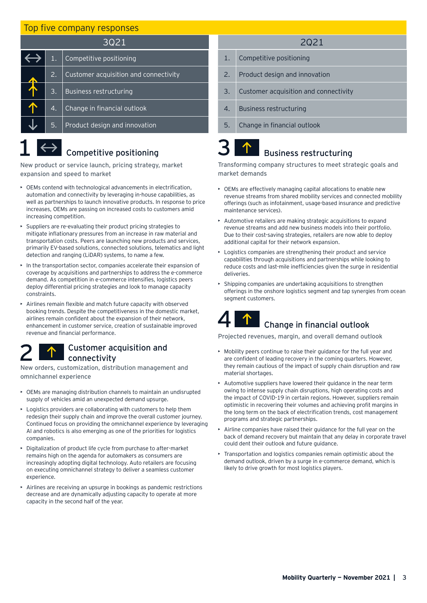### Top five company responses

| 3021 |           |                                       |  |
|------|-----------|---------------------------------------|--|
|      | 1.        | Competitive positioning               |  |
|      | 2.        | Customer acquisition and connectivity |  |
|      | <b>B.</b> | <b>Business restructuring</b>         |  |
|      | 4.        | Change in financial outlook           |  |
|      | 5.        | Product design and innovation         |  |

# $\left\langle \leftrightarrow \right\rangle$  Competitive positioning

New product or service launch, pricing strategy, market expansion and speed to market

- OEMs contend with technological advancements in electrification, automation and connectivity by leveraging in-house capabilities, as well as partnerships to launch innovative products. In response to price increases, OEMs are passing on increased costs to customers amid increasing competition.
- Suppliers are re-evaluating their product pricing strategies to mitigate inflationary pressures from an increase in raw material and transportation costs. Peers are launching new products and services, primarily EV-based solutions, connected solutions, telematics and light detection and ranging (LiDAR) systems, to name a few.
- In the transportation sector, companies accelerate their expansion of coverage by acquisitions and partnerships to address the e-commerce demand. As competition in e-commerce intensifies, logistics peers deploy differential pricing strategies and look to manage capacity constraints.
- Airlines remain flexible and match future capacity with observed booking trends. Despite the competitiveness in the domestic market, airlines remain confident about the expansion of their network, enhancement in customer service, creation of sustainable improved revenue and financial performance.

### Customer acquisition and connectivity

New orders, customization, distribution management and omnichannel experience

- OEMs are managing distribution channels to maintain an undisrupted supply of vehicles amid an unexpected demand upsurge.
- Logistics providers are collaborating with customers to help them redesign their supply chain and improve the overall customer journey. Continued focus on providing the omnichannel experience by leveraging AI and robotics is also emerging as one of the priorities for logistics companies.
- Digitalization of product life cycle from purchase to after-market remains high on the agenda for automakers as consumers are increasingly adopting digital technology. Auto retailers are focusing on executing omnichannel strategy to deliver a seamless customer experience
- Airlines are receiving an upsurge in bookings as pandemic restrictions decrease and are dynamically adjusting capacity to operate at more capacity in the second half of the year.

#### 2Q21

- 1. Competitive positioning
- 2. Product design and innovation
- 3. Customer acquisition and connectivity
- 4. Business restructuring
- 5. Change in financial outlook

### Business restructuring

Transforming company structures to meet strategic goals and market demands

- OEMs are effectively managing capital allocations to enable new revenue streams from shared mobility services and connected mobility offerings (such as infotainment, usage-based insurance and predictive maintenance services).
- Automotive retailers are making strategic acquisitions to expand revenue streams and add new business models into their portfolio. Due to their cost-saving strategies, retailers are now able to deploy additional capital for their network expansion.
- Logistics companies are strengthening their product and service capabilities through acquisitions and partnerships while looking to reduce costs and last-mile inefficiencies given the surge in residential deliveries.
- Shipping companies are undertaking acquisitions to strengthen offerings in the onshore logistics segment and tap synergies from ocean segment customers.

### Change in financial outlook

Projected revenues, margin, and overall demand outlook

- Mobility peers continue to raise their guidance for the full year and are confident of leading recovery in the coming quarters. However, they remain cautious of the impact of supply chain disruption and raw material shortages.
- Automotive suppliers have lowered their guidance in the near term owing to intense supply chain disruptions, high operating costs and the impact of COVID-19 in certain regions. However, suppliers remain optimistic in recovering their volumes and achieving profit margins in the long term on the back of electrification trends, cost management programs and strategic partnerships.
- Airline companies have raised their guidance for the full year on the back of demand recovery but maintain that any delay in corporate travel could dent their outlook and future guidance.
- Transportation and logistics companies remain optimistic about the demand outlook, driven by a surge in e-commerce demand, which is likely to drive growth for most logistics players.